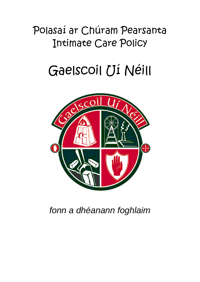## Polasaí ar Chúram Pearsanta Intimate Care Policy

# Gaelscoil Uí Néill



*fonn a dhéanann foghlaim*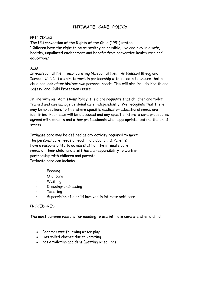### **INTIMATE CARE POLICY**

#### PRINCIPLES

The UN convention of the Rights of the Child (1991) states: "Children have the right to be as healthy as possible, live and play in a safe, healthy, unpolluted environment and benefit from preventive health care and education."

#### AIM

In Gaelscoil Uí Néill (incorporating Naíscoil Uí Néill, An Naíscoil Bheag and Iarscoil Uí Néill) we aim to work in partnership with parents to ensure that a child can look after his/her own personal needs. This will also include Health and Safety, and Child Protection issues.

In line with our Admissions Policy it is a pre requisite that children are toilet trained and can manage personal care independently. We recognise that there may be exceptions to this where specific medical or educational needs are identified. Each case will be discussed and any specific intimate care procedures agreed with parents and other professionals when appropriate, before the child starts.

Intimate care may be defined as any activity required to meet the personal care needs of each individual child. Parents have a responsibility to advise staff of the intimate care needs of their child, and staff have a responsibility to work in partnership with children and parents. Intimate care can include:

- Feeding
- Oral care
- Washing
- Dressing/undressing
- Toileting
- Supervision of a child involved in intimate self-care

#### PROCEDURES

The most common reasons for needing to use intimate care are when a child;

- Becomes wet following water play
- Has soiled clothes due to vomiting
- has a toileting accident (wetting or soiling)